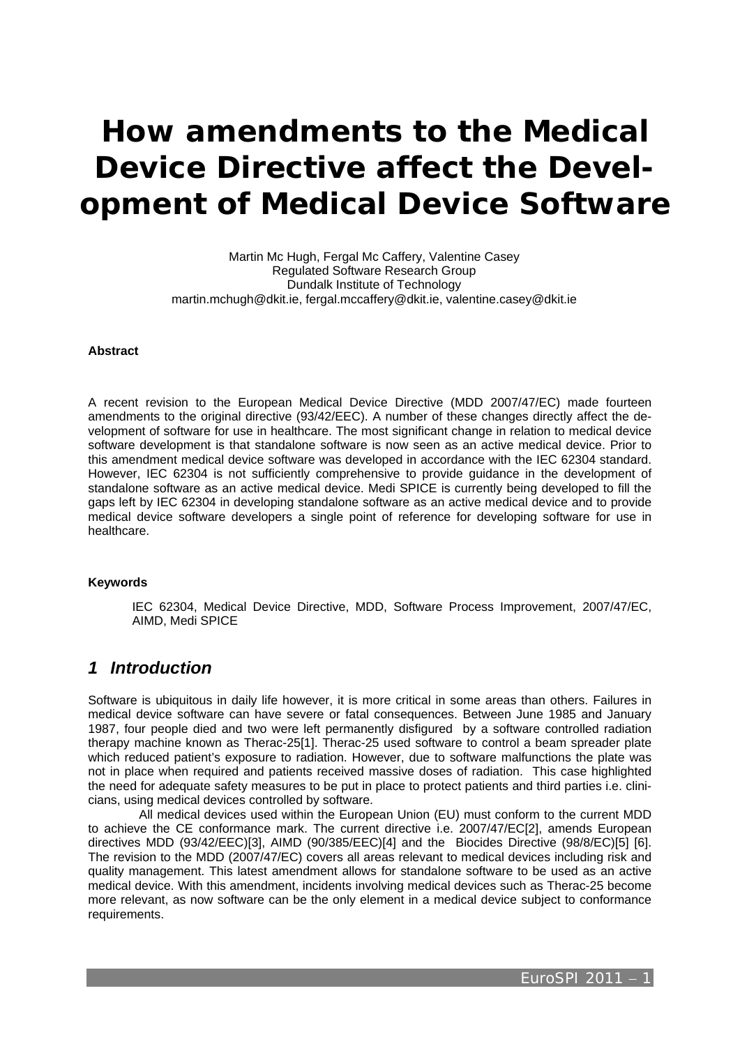# **How amendments to the Medical Device Directive affect the Development of Medical Device Software**

Martin Mc Hugh, Fergal Mc Caffery, Valentine Casey Regulated Software Research Group Dundalk Institute of Technology martin.mchugh@dkit.ie, fergal.mccaffery@dkit.ie, valentine.casey@dkit.ie

### **Abstract**

A recent revision to the European Medical Device Directive (MDD 2007/47/EC) made fourteen amendments to the original directive (93/42/EEC). A number of these changes directly affect the development of software for use in healthcare. The most significant change in relation to medical device software development is that standalone software is now seen as an active medical device. Prior to this amendment medical device software was developed in accordance with the IEC 62304 standard. However, IEC 62304 is not sufficiently comprehensive to provide guidance in the development of standalone software as an active medical device. Medi SPICE is currently being developed to fill the gaps left by IEC 62304 in developing standalone software as an active medical device and to provide medical device software developers a single point of reference for developing software for use in healthcare.

### **Keywords**

IEC 62304, Medical Device Directive, MDD, Software Process Improvement, 2007/47/EC, AIMD, Medi SPICE

### *1 Introduction*

Software is ubiquitous in daily life however, it is more critical in some areas than others. Failures in medical device software can have severe or fatal consequences. Between June 1985 and January 1987, four people died and two were left permanently disfigured by a software controlled radiation therapy machine known as Therac-25[1]. Therac-25 used software to control a beam spreader plate which reduced patient's exposure to radiation. However, due to software malfunctions the plate was not in place when required and patients received massive doses of radiation. This case highlighted the need for adequate safety measures to be put in place to protect patients and third parties i.e. clinicians, using medical devices controlled by software.

 All medical devices used within the European Union (EU) must conform to the current MDD to achieve the CE conformance mark. The current directive i.e. 2007/47/EC[2], amends European directives MDD (93/42/EEC)[3], AIMD (90/385/EEC)[4] and the Biocides Directive (98/8/EC)[5] [6]. The revision to the MDD (2007/47/EC) covers all areas relevant to medical devices including risk and quality management. This latest amendment allows for standalone software to be used as an active medical device. With this amendment, incidents involving medical devices such as Therac-25 become more relevant, as now software can be the only element in a medical device subject to conformance requirements.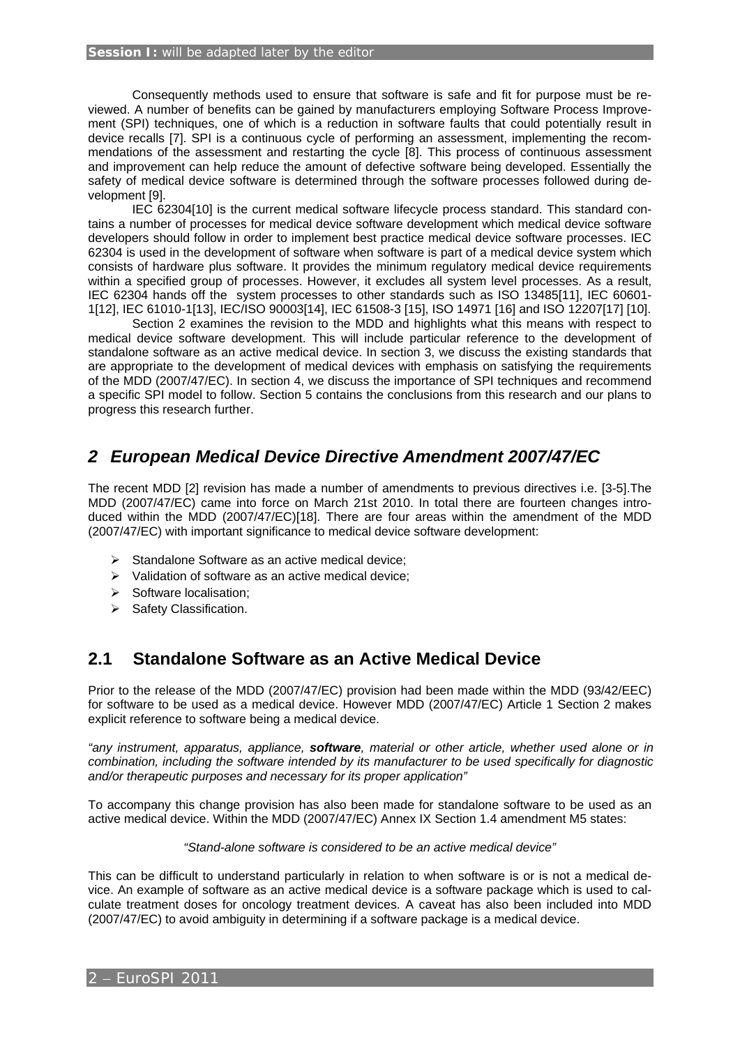#### **Session I:** will be adapted later by the editor

 Consequently methods used to ensure that software is safe and fit for purpose must be reviewed. A number of benefits can be gained by manufacturers employing Software Process Improvement (SPI) techniques, one of which is a reduction in software faults that could potentially result in device recalls [7]. SPI is a continuous cycle of performing an assessment, implementing the recommendations of the assessment and restarting the cycle [8]. This process of continuous assessment and improvement can help reduce the amount of defective software being developed. Essentially the safety of medical device software is determined through the software processes followed during development [9].

 IEC 62304[10] is the current medical software lifecycle process standard. This standard contains a number of processes for medical device software development which medical device software developers should follow in order to implement best practice medical device software processes. IEC 62304 is used in the development of software when software is part of a medical device system which consists of hardware plus software. It provides the minimum regulatory medical device requirements within a specified group of processes. However, it excludes all system level processes. As a result, IEC 62304 hands off the system processes to other standards such as ISO 13485[11], IEC 60601- 1[12], IEC 61010-1[13], IEC/ISO 90003[14], IEC 61508-3 [15], ISO 14971 [16] and ISO 12207[17] [10].

 Section 2 examines the revision to the MDD and highlights what this means with respect to medical device software development. This will include particular reference to the development of standalone software as an active medical device. In section 3, we discuss the existing standards that are appropriate to the development of medical devices with emphasis on satisfying the requirements of the MDD (2007/47/EC). In section 4, we discuss the importance of SPI techniques and recommend a specific SPI model to follow. Section 5 contains the conclusions from this research and our plans to progress this research further.

# *2 European Medical Device Directive Amendment 2007/47/EC*

The recent MDD [2] revision has made a number of amendments to previous directives i.e. [3-5].The MDD (2007/47/EC) came into force on March 21st 2010. In total there are fourteen changes introduced within the MDD (2007/47/EC)[18]. There are four areas within the amendment of the MDD (2007/47/EC) with important significance to medical device software development:

- $\triangleright$  Standalone Software as an active medical device;
- $\triangleright$  Validation of software as an active medical device:
- $\triangleright$  Software localisation:
- $\triangleright$  Safety Classification.

# **2.1 Standalone Software as an Active Medical Device**

Prior to the release of the MDD (2007/47/EC) provision had been made within the MDD (93/42/EEC) for software to be used as a medical device. However MDD (2007/47/EC) Article 1 Section 2 makes explicit reference to software being a medical device.

*"any instrument, apparatus, appliance, software, material or other article, whether used alone or in combination, including the software intended by its manufacturer to be used specifically for diagnostic and/or therapeutic purposes and necessary for its proper application"* 

To accompany this change provision has also been made for standalone software to be used as an active medical device. Within the MDD (2007/47/EC) Annex IX Section 1.4 amendment M5 states:

### *"Stand-alone software is considered to be an active medical device"*

This can be difficult to understand particularly in relation to when software is or is not a medical device. An example of software as an active medical device is a software package which is used to calculate treatment doses for oncology treatment devices. A caveat has also been included into MDD (2007/47/EC) to avoid ambiguity in determining if a software package is a medical device.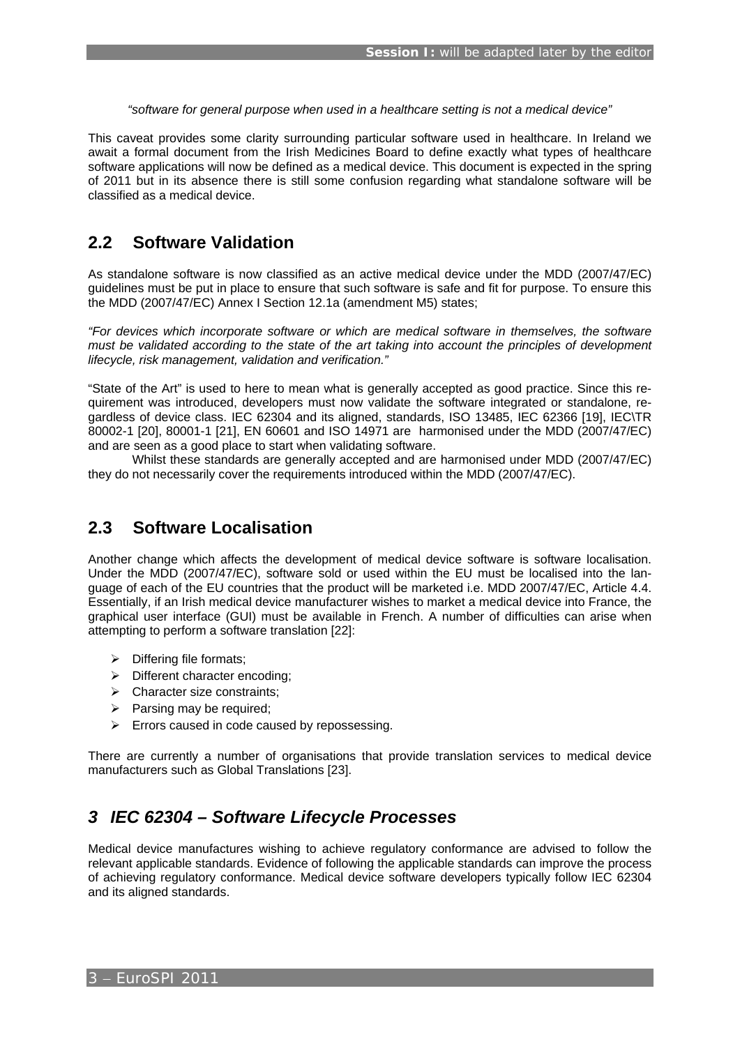*"software for general purpose when used in a healthcare setting is not a medical device"* 

This caveat provides some clarity surrounding particular software used in healthcare. In Ireland we await a formal document from the Irish Medicines Board to define exactly what types of healthcare software applications will now be defined as a medical device. This document is expected in the spring of 2011 but in its absence there is still some confusion regarding what standalone software will be classified as a medical device.

# **2.2 Software Validation**

As standalone software is now classified as an active medical device under the MDD (2007/47/EC) guidelines must be put in place to ensure that such software is safe and fit for purpose. To ensure this the MDD (2007/47/EC) Annex I Section 12.1a (amendment M5) states;

*"For devices which incorporate software or which are medical software in themselves, the software must be validated according to the state of the art taking into account the principles of development lifecycle, risk management, validation and verification."* 

"State of the Art" is used to here to mean what is generally accepted as good practice. Since this requirement was introduced, developers must now validate the software integrated or standalone, regardless of device class. IEC 62304 and its aligned, standards, ISO 13485, IEC 62366 [19], IEC\TR 80002-1 [20], 80001-1 [21], EN 60601 and ISO 14971 are harmonised under the MDD (2007/47/EC) and are seen as a good place to start when validating software.

 Whilst these standards are generally accepted and are harmonised under MDD (2007/47/EC) they do not necessarily cover the requirements introduced within the MDD (2007/47/EC).

### **2.3 Software Localisation**

Another change which affects the development of medical device software is software localisation. Under the MDD (2007/47/EC), software sold or used within the EU must be localised into the language of each of the EU countries that the product will be marketed i.e. MDD 2007/47/EC, Article 4.4. Essentially, if an Irish medical device manufacturer wishes to market a medical device into France, the graphical user interface (GUI) must be available in French. A number of difficulties can arise when attempting to perform a software translation [22]:

- $\triangleright$  Differing file formats;
- $\triangleright$  Different character encoding:
- $\triangleright$  Character size constraints;
- $\triangleright$  Parsing may be required;
- $\triangleright$  Errors caused in code caused by repossessing.

There are currently a number of organisations that provide translation services to medical device manufacturers such as Global Translations [23].

# *3 IEC 62304 – Software Lifecycle Processes*

Medical device manufactures wishing to achieve regulatory conformance are advised to follow the relevant applicable standards. Evidence of following the applicable standards can improve the process of achieving regulatory conformance. Medical device software developers typically follow IEC 62304 and its aligned standards.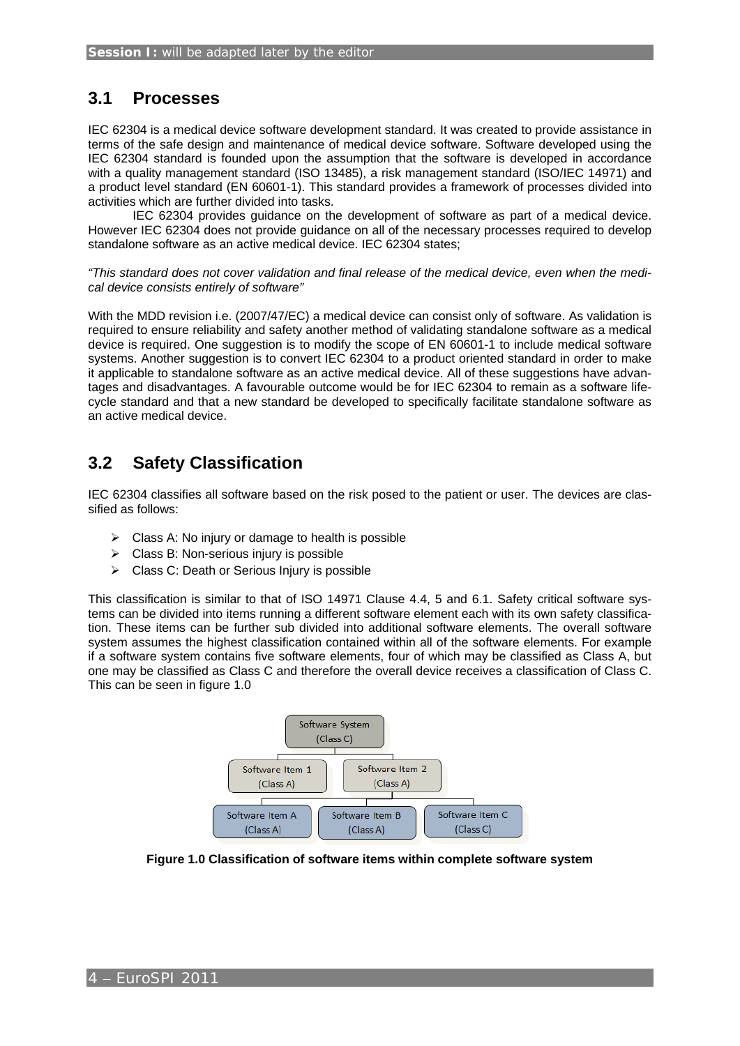# **3.1 Processes**

IEC 62304 is a medical device software development standard. It was created to provide assistance in terms of the safe design and maintenance of medical device software. Software developed using the IEC 62304 standard is founded upon the assumption that the software is developed in accordance with a quality management standard (ISO 13485), a risk management standard (ISO/IEC 14971) and a product level standard (EN 60601-1). This standard provides a framework of processes divided into activities which are further divided into tasks.

IEC 62304 provides guidance on the development of software as part of a medical device. However IEC 62304 does not provide guidance on all of the necessary processes required to develop standalone software as an active medical device. IEC 62304 states;

*"This standard does not cover validation and final release of the medical device, even when the medical device consists entirely of software"* 

With the MDD revision i.e. (2007/47/EC) a medical device can consist only of software. As validation is required to ensure reliability and safety another method of validating standalone software as a medical device is required. One suggestion is to modify the scope of EN 60601-1 to include medical software systems. Another suggestion is to convert IEC 62304 to a product oriented standard in order to make it applicable to standalone software as an active medical device. All of these suggestions have advantages and disadvantages. A favourable outcome would be for IEC 62304 to remain as a software lifecycle standard and that a new standard be developed to specifically facilitate standalone software as an active medical device.

# **3.2 Safety Classification**

IEC 62304 classifies all software based on the risk posed to the patient or user. The devices are classified as follows:

- $\triangleright$  Class A: No injury or damage to health is possible
- $\triangleright$  Class B: Non-serious injury is possible
- $\triangleright$  Class C: Death or Serious Injury is possible

This classification is similar to that of ISO 14971 Clause 4.4, 5 and 6.1. Safety critical software systems can be divided into items running a different software element each with its own safety classification. These items can be further sub divided into additional software elements. The overall software system assumes the highest classification contained within all of the software elements. For example if a software system contains five software elements, four of which may be classified as Class A, but one may be classified as Class C and therefore the overall device receives a classification of Class C. This can be seen in figure 1.0



**Figure 1.0 Classification of software items within complete software system**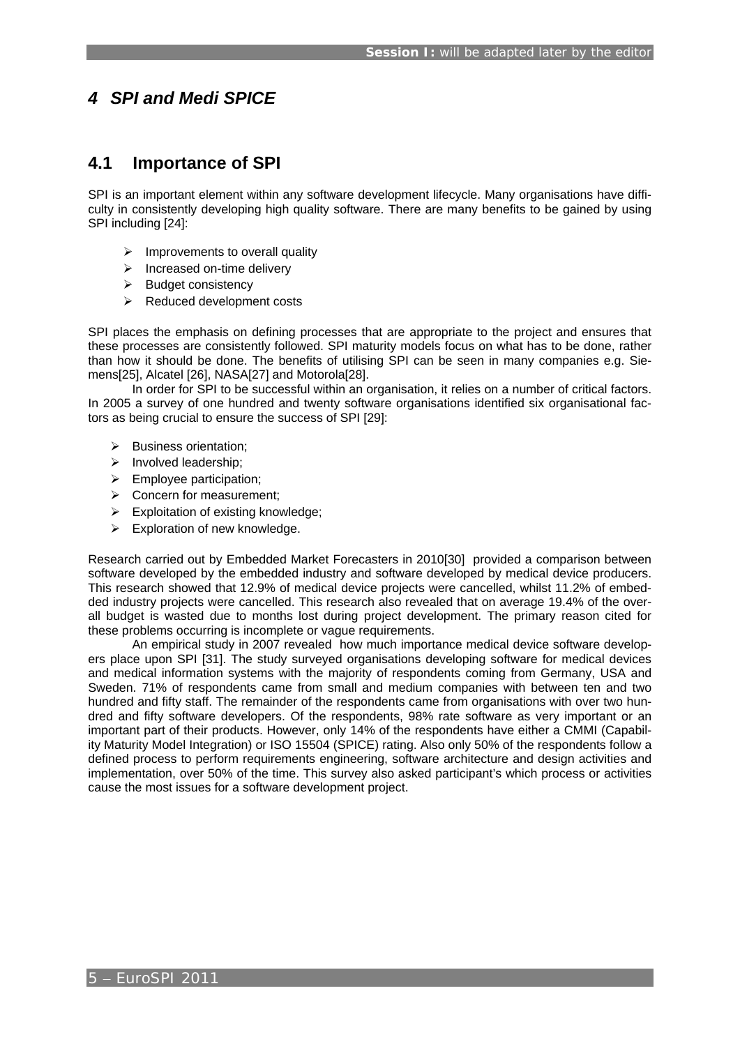# *4 SPI and Medi SPICE*

# **4.1 Importance of SPI**

SPI is an important element within any software development lifecycle. Many organisations have difficulty in consistently developing high quality software. There are many benefits to be gained by using SPI including [24]:

- $\triangleright$  Improvements to overall quality
- $\triangleright$  Increased on-time delivery
- $\triangleright$  Budget consistency
- $\triangleright$  Reduced development costs

SPI places the emphasis on defining processes that are appropriate to the project and ensures that these processes are consistently followed. SPI maturity models focus on what has to be done, rather than how it should be done. The benefits of utilising SPI can be seen in many companies e.g. Siemens[25], Alcatel [26], NASA[27] and Motorola[28].

 In order for SPI to be successful within an organisation, it relies on a number of critical factors. In 2005 a survey of one hundred and twenty software organisations identified six organisational factors as being crucial to ensure the success of SPI [29]:

- $\triangleright$  Business orientation:
- $\triangleright$  Involved leadership:
- $\blacktriangleright$  Employee participation;
- $\triangleright$  Concern for measurement;
- $\triangleright$  Exploitation of existing knowledge;
- $\triangleright$  Exploration of new knowledge.

Research carried out by Embedded Market Forecasters in 2010[30] provided a comparison between software developed by the embedded industry and software developed by medical device producers. This research showed that 12.9% of medical device projects were cancelled, whilst 11.2% of embedded industry projects were cancelled. This research also revealed that on average 19.4% of the overall budget is wasted due to months lost during project development. The primary reason cited for these problems occurring is incomplete or vague requirements.

 An empirical study in 2007 revealed how much importance medical device software developers place upon SPI [31]. The study surveyed organisations developing software for medical devices and medical information systems with the majority of respondents coming from Germany, USA and Sweden. 71% of respondents came from small and medium companies with between ten and two hundred and fifty staff. The remainder of the respondents came from organisations with over two hundred and fifty software developers. Of the respondents, 98% rate software as very important or an important part of their products. However, only 14% of the respondents have either a CMMI (Capability Maturity Model Integration) or ISO 15504 (SPICE) rating. Also only 50% of the respondents follow a defined process to perform requirements engineering, software architecture and design activities and implementation, over 50% of the time. This survey also asked participant's which process or activities cause the most issues for a software development project.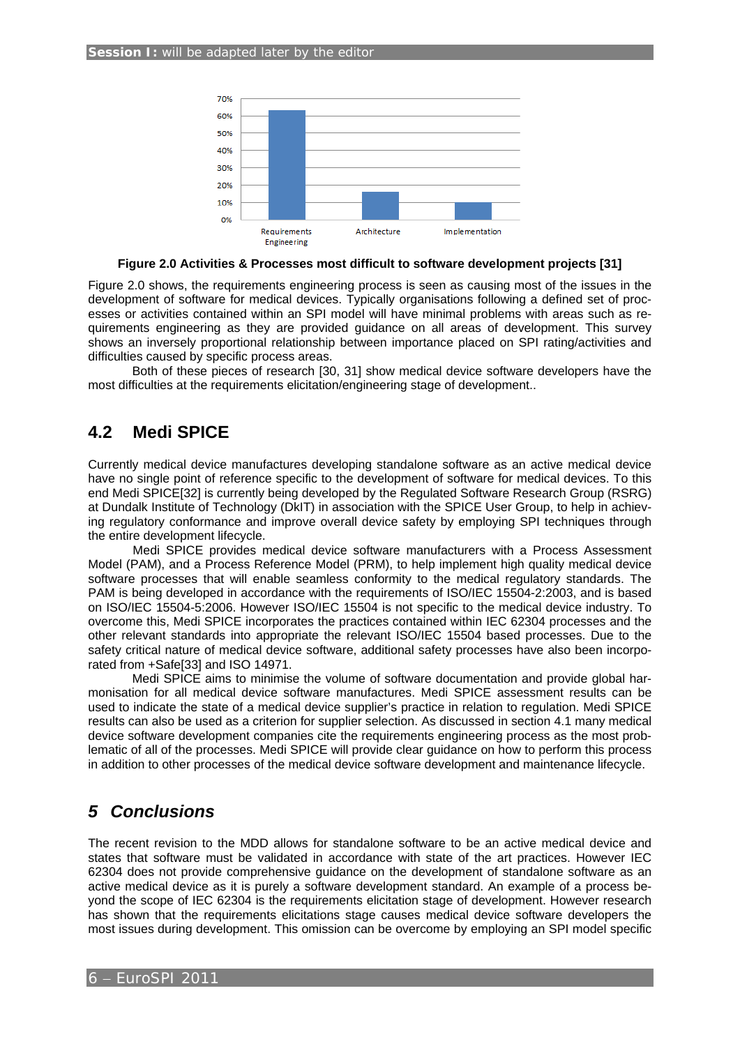

#### **Figure 2.0 Activities & Processes most difficult to software development projects [31]**

Figure 2.0 shows, the requirements engineering process is seen as causing most of the issues in the development of software for medical devices. Typically organisations following a defined set of processes or activities contained within an SPI model will have minimal problems with areas such as requirements engineering as they are provided guidance on all areas of development. This survey shows an inversely proportional relationship between importance placed on SPI rating/activities and difficulties caused by specific process areas.

Both of these pieces of research [30, 31] show medical device software developers have the most difficulties at the requirements elicitation/engineering stage of development..

# **4.2 Medi SPICE**

Currently medical device manufactures developing standalone software as an active medical device have no single point of reference specific to the development of software for medical devices. To this end Medi SPICE[32] is currently being developed by the Regulated Software Research Group (RSRG) at Dundalk Institute of Technology (DkIT) in association with the SPICE User Group, to help in achieving regulatory conformance and improve overall device safety by employing SPI techniques through the entire development lifecycle.

Medi SPICE provides medical device software manufacturers with a Process Assessment Model (PAM), and a Process Reference Model (PRM), to help implement high quality medical device software processes that will enable seamless conformity to the medical regulatory standards. The PAM is being developed in accordance with the requirements of ISO/IEC 15504-2:2003, and is based on ISO/IEC 15504-5:2006. However ISO/IEC 15504 is not specific to the medical device industry. To overcome this, Medi SPICE incorporates the practices contained within IEC 62304 processes and the other relevant standards into appropriate the relevant ISO/IEC 15504 based processes. Due to the safety critical nature of medical device software, additional safety processes have also been incorporated from +Safe[33] and ISO 14971.

 Medi SPICE aims to minimise the volume of software documentation and provide global harmonisation for all medical device software manufactures. Medi SPICE assessment results can be used to indicate the state of a medical device supplier's practice in relation to regulation. Medi SPICE results can also be used as a criterion for supplier selection. As discussed in section 4.1 many medical device software development companies cite the requirements engineering process as the most problematic of all of the processes. Medi SPICE will provide clear guidance on how to perform this process in addition to other processes of the medical device software development and maintenance lifecycle.

# *5 Conclusions*

The recent revision to the MDD allows for standalone software to be an active medical device and states that software must be validated in accordance with state of the art practices. However IEC 62304 does not provide comprehensive guidance on the development of standalone software as an active medical device as it is purely a software development standard. An example of a process beyond the scope of IEC 62304 is the requirements elicitation stage of development. However research has shown that the requirements elicitations stage causes medical device software developers the most issues during development. This omission can be overcome by employing an SPI model specific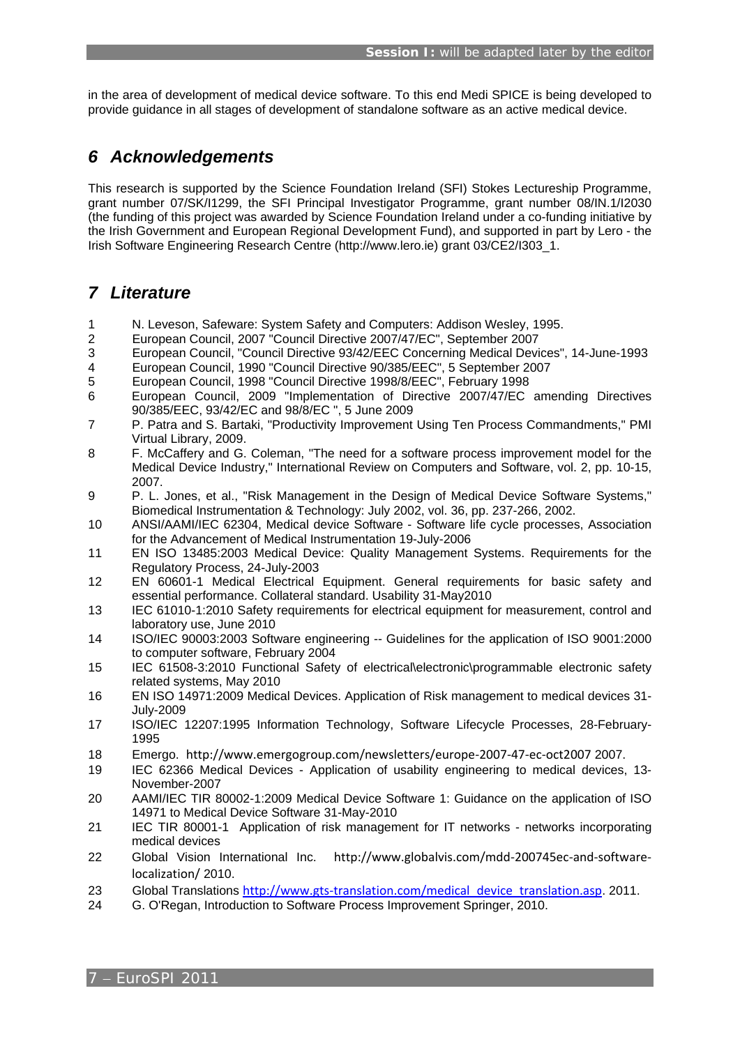in the area of development of medical device software. To this end Medi SPICE is being developed to provide guidance in all stages of development of standalone software as an active medical device.

# *6 Acknowledgements*

This research is supported by the Science Foundation Ireland (SFI) Stokes Lectureship Programme, grant number 07/SK/I1299, the SFI Principal Investigator Programme, grant number 08/IN.1/I2030 (the funding of this project was awarded by Science Foundation Ireland under a co-funding initiative by the Irish Government and European Regional Development Fund), and supported in part by Lero - the Irish Software Engineering Research Centre (http://www.lero.ie) grant 03/CE2/I303\_1.

# *7 Literature*

- 1 N. Leveson, Safeware: System Safety and Computers: Addison Wesley, 1995.
- 2 European Council, 2007 "Council Directive 2007/47/EC", September 2007
- 3 European Council, "Council Directive 93/42/EEC Concerning Medical Devices", 14-June-1993
- 4 European Council, 1990 "Council Directive 90/385/EEC", 5 September 2007
- 5 European Council, 1998 "Council Directive 1998/8/EEC", February 1998
- 6 European Council, 2009 "Implementation of Directive 2007/47/EC amending Directives 90/385/EEC, 93/42/EC and 98/8/EC ", 5 June 2009
- 7 P. Patra and S. Bartaki, "Productivity Improvement Using Ten Process Commandments," PMI Virtual Library, 2009.
- 8 F. McCaffery and G. Coleman, "The need for a software process improvement model for the Medical Device Industry," International Review on Computers and Software, vol. 2, pp. 10-15, 2007.
- 9 P. L. Jones, et al., "Risk Management in the Design of Medical Device Software Systems," Biomedical Instrumentation & Technology: July 2002, vol. 36, pp. 237-266, 2002.
- 10 ANSI/AAMI/IEC 62304, Medical device Software Software life cycle processes, Association for the Advancement of Medical Instrumentation 19-July-2006
- 11 EN ISO 13485:2003 Medical Device: Quality Management Systems. Requirements for the Regulatory Process, 24-July-2003
- 12 EN 60601-1 Medical Electrical Equipment. General requirements for basic safety and essential performance. Collateral standard. Usability 31-May2010
- 13 IEC 61010-1:2010 Safety requirements for electrical equipment for measurement, control and laboratory use, June 2010
- 14 ISO/IEC 90003:2003 Software engineering -- Guidelines for the application of ISO 9001:2000 to computer software, February 2004
- 15 IEC 61508-3:2010 Functional Safety of electrical\electronic\programmable electronic safety related systems, May 2010
- 16 EN ISO 14971:2009 Medical Devices. Application of Risk management to medical devices 31- July-2009
- 17 ISO/IEC 12207:1995 Information Technology, Software Lifecycle Processes, 28-February-1995
- 18 Emergo. http://www.emergogroup.com/newsletters/europe‐2007‐47‐ec‐oct2007 2007.
- 19 IEC 62366 Medical Devices Application of usability engineering to medical devices, 13- November-2007
- 20 AAMI/IEC TIR 80002-1:2009 Medical Device Software 1: Guidance on the application of ISO 14971 to Medical Device Software 31-May-2010
- 21 IEC TIR 80001-1 Application of risk management for IT networks networks incorporating medical devices
- 22 Global Vision International Inc. http://www.globalvis.com/mdd-200745ec-and-softwarelocalization/ 2010.
- 23 Global Translations http://www.gts-translation.com/medical\_device\_translation.asp. 2011.
- 24 G. O'Regan, Introduction to Software Process Improvement Springer, 2010.